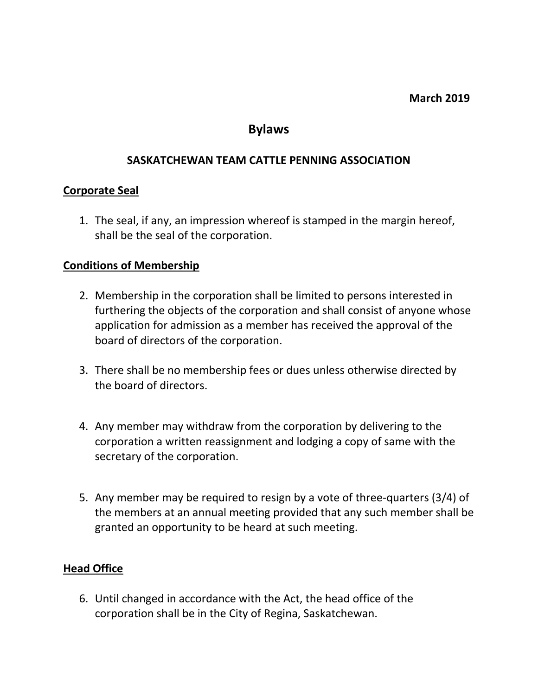#### **March 2019**

# **Bylaws**

#### **SASKATCHEWAN TEAM CATTLE PENNING ASSOCIATION**

#### **Corporate Seal**

1. The seal, if any, an impression whereof is stamped in the margin hereof, shall be the seal of the corporation.

#### **Conditions of Membership**

- 2. Membership in the corporation shall be limited to persons interested in furthering the objects of the corporation and shall consist of anyone whose application for admission as a member has received the approval of the board of directors of the corporation.
- 3. There shall be no membership fees or dues unless otherwise directed by the board of directors.
- 4. Any member may withdraw from the corporation by delivering to the corporation a written reassignment and lodging a copy of same with the secretary of the corporation.
- 5. Any member may be required to resign by a vote of three-quarters (3/4) of the members at an annual meeting provided that any such member shall be granted an opportunity to be heard at such meeting.

## **Head Office**

6. Until changed in accordance with the Act, the head office of the corporation shall be in the City of Regina, Saskatchewan.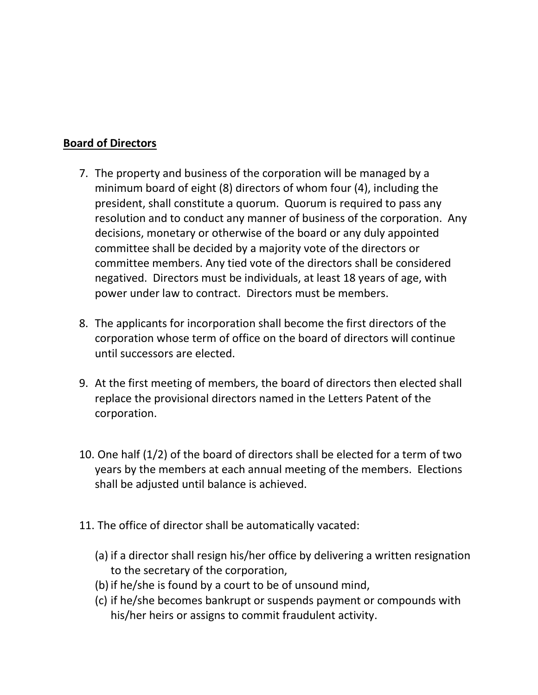## **Board of Directors**

- 7. The property and business of the corporation will be managed by a minimum board of eight (8) directors of whom four (4), including the president, shall constitute a quorum. Quorum is required to pass any resolution and to conduct any manner of business of the corporation. Any decisions, monetary or otherwise of the board or any duly appointed committee shall be decided by a majority vote of the directors or committee members. Any tied vote of the directors shall be considered negatived. Directors must be individuals, at least 18 years of age, with power under law to contract. Directors must be members.
- 8. The applicants for incorporation shall become the first directors of the corporation whose term of office on the board of directors will continue until successors are elected.
- 9. At the first meeting of members, the board of directors then elected shall replace the provisional directors named in the Letters Patent of the corporation.
- 10. One half (1/2) of the board of directors shall be elected for a term of two years by the members at each annual meeting of the members. Elections shall be adjusted until balance is achieved.
- 11. The office of director shall be automatically vacated:
	- (a) if a director shall resign his/her office by delivering a written resignation to the secretary of the corporation,
	- (b) if he/she is found by a court to be of unsound mind,
	- (c) if he/she becomes bankrupt or suspends payment or compounds with his/her heirs or assigns to commit fraudulent activity.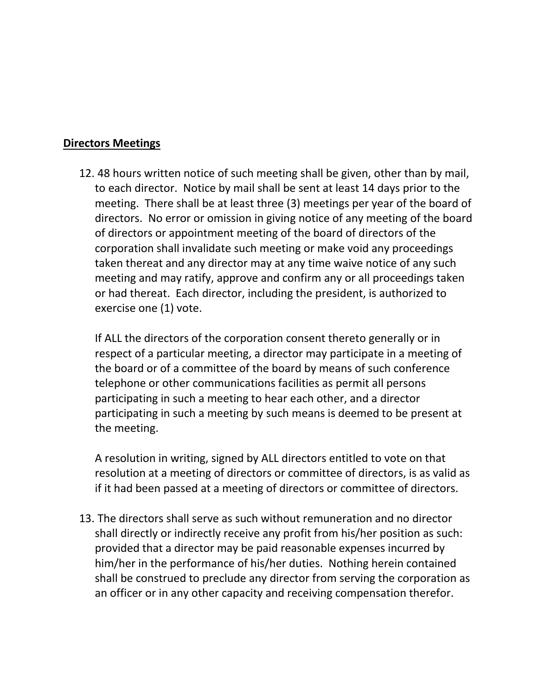### **Directors Meetings**

12. 48 hours written notice of such meeting shall be given, other than by mail, to each director. Notice by mail shall be sent at least 14 days prior to the meeting. There shall be at least three (3) meetings per year of the board of directors. No error or omission in giving notice of any meeting of the board of directors or appointment meeting of the board of directors of the corporation shall invalidate such meeting or make void any proceedings taken thereat and any director may at any time waive notice of any such meeting and may ratify, approve and confirm any or all proceedings taken or had thereat. Each director, including the president, is authorized to exercise one (1) vote.

If ALL the directors of the corporation consent thereto generally or in respect of a particular meeting, a director may participate in a meeting of the board or of a committee of the board by means of such conference telephone or other communications facilities as permit all persons participating in such a meeting to hear each other, and a director participating in such a meeting by such means is deemed to be present at the meeting.

A resolution in writing, signed by ALL directors entitled to vote on that resolution at a meeting of directors or committee of directors, is as valid as if it had been passed at a meeting of directors or committee of directors.

13. The directors shall serve as such without remuneration and no director shall directly or indirectly receive any profit from his/her position as such: provided that a director may be paid reasonable expenses incurred by him/her in the performance of his/her duties. Nothing herein contained shall be construed to preclude any director from serving the corporation as an officer or in any other capacity and receiving compensation therefor.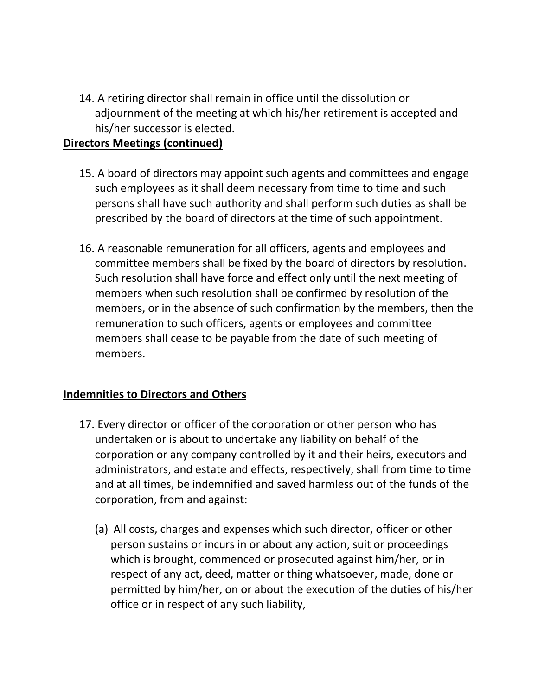14. A retiring director shall remain in office until the dissolution or adjournment of the meeting at which his/her retirement is accepted and his/her successor is elected.

# **Directors Meetings (continued)**

- 15. A board of directors may appoint such agents and committees and engage such employees as it shall deem necessary from time to time and such persons shall have such authority and shall perform such duties as shall be prescribed by the board of directors at the time of such appointment.
- 16. A reasonable remuneration for all officers, agents and employees and committee members shall be fixed by the board of directors by resolution. Such resolution shall have force and effect only until the next meeting of members when such resolution shall be confirmed by resolution of the members, or in the absence of such confirmation by the members, then the remuneration to such officers, agents or employees and committee members shall cease to be payable from the date of such meeting of members.

# **Indemnities to Directors and Others**

- 17. Every director or officer of the corporation or other person who has undertaken or is about to undertake any liability on behalf of the corporation or any company controlled by it and their heirs, executors and administrators, and estate and effects, respectively, shall from time to time and at all times, be indemnified and saved harmless out of the funds of the corporation, from and against:
	- (a) All costs, charges and expenses which such director, officer or other person sustains or incurs in or about any action, suit or proceedings which is brought, commenced or prosecuted against him/her, or in respect of any act, deed, matter or thing whatsoever, made, done or permitted by him/her, on or about the execution of the duties of his/her office or in respect of any such liability,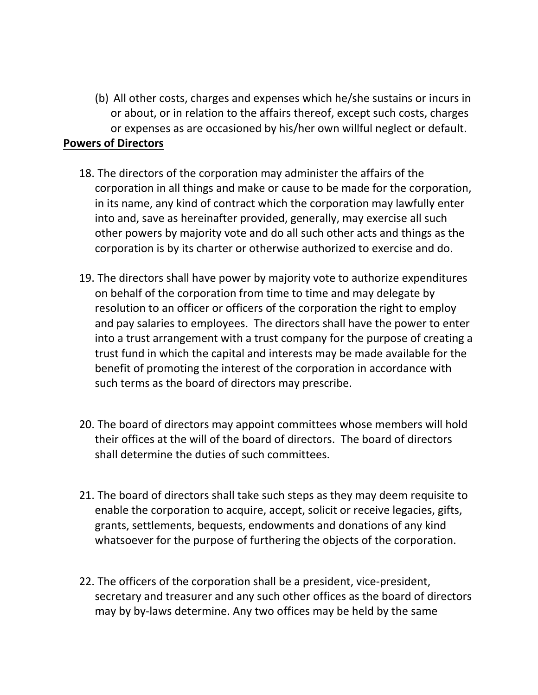(b) All other costs, charges and expenses which he/she sustains or incurs in or about, or in relation to the affairs thereof, except such costs, charges or expenses as are occasioned by his/her own willful neglect or default.

## **Powers of Directors**

- 18. The directors of the corporation may administer the affairs of the corporation in all things and make or cause to be made for the corporation, in its name, any kind of contract which the corporation may lawfully enter into and, save as hereinafter provided, generally, may exercise all such other powers by majority vote and do all such other acts and things as the corporation is by its charter or otherwise authorized to exercise and do.
- 19. The directors shall have power by majority vote to authorize expenditures on behalf of the corporation from time to time and may delegate by resolution to an officer or officers of the corporation the right to employ and pay salaries to employees. The directors shall have the power to enter into a trust arrangement with a trust company for the purpose of creating a trust fund in which the capital and interests may be made available for the benefit of promoting the interest of the corporation in accordance with such terms as the board of directors may prescribe.
- 20. The board of directors may appoint committees whose members will hold their offices at the will of the board of directors. The board of directors shall determine the duties of such committees.
- 21. The board of directors shall take such steps as they may deem requisite to enable the corporation to acquire, accept, solicit or receive legacies, gifts, grants, settlements, bequests, endowments and donations of any kind whatsoever for the purpose of furthering the objects of the corporation.
- 22. The officers of the corporation shall be a president, vice-president, secretary and treasurer and any such other offices as the board of directors may by by-laws determine. Any two offices may be held by the same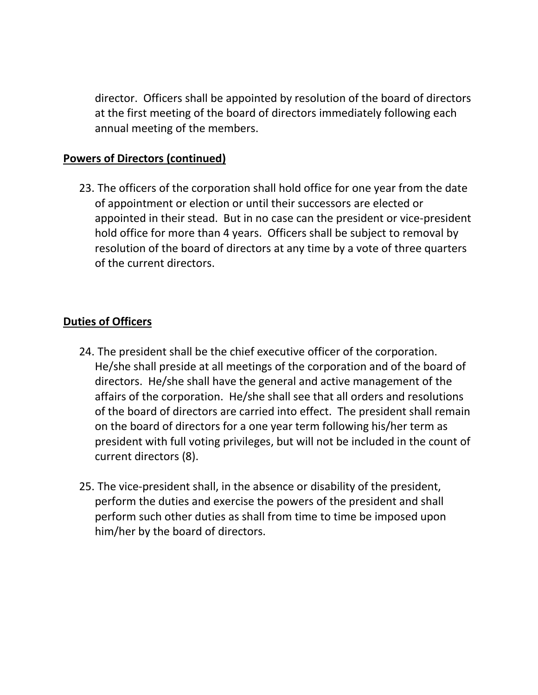director. Officers shall be appointed by resolution of the board of directors at the first meeting of the board of directors immediately following each annual meeting of the members.

# **Powers of Directors (continued)**

23. The officers of the corporation shall hold office for one year from the date of appointment or election or until their successors are elected or appointed in their stead. But in no case can the president or vice-president hold office for more than 4 years. Officers shall be subject to removal by resolution of the board of directors at any time by a vote of three quarters of the current directors.

# **Duties of Officers**

- 24. The president shall be the chief executive officer of the corporation. He/she shall preside at all meetings of the corporation and of the board of directors. He/she shall have the general and active management of the affairs of the corporation. He/she shall see that all orders and resolutions of the board of directors are carried into effect. The president shall remain on the board of directors for a one year term following his/her term as president with full voting privileges, but will not be included in the count of current directors (8).
- 25. The vice-president shall, in the absence or disability of the president, perform the duties and exercise the powers of the president and shall perform such other duties as shall from time to time be imposed upon him/her by the board of directors.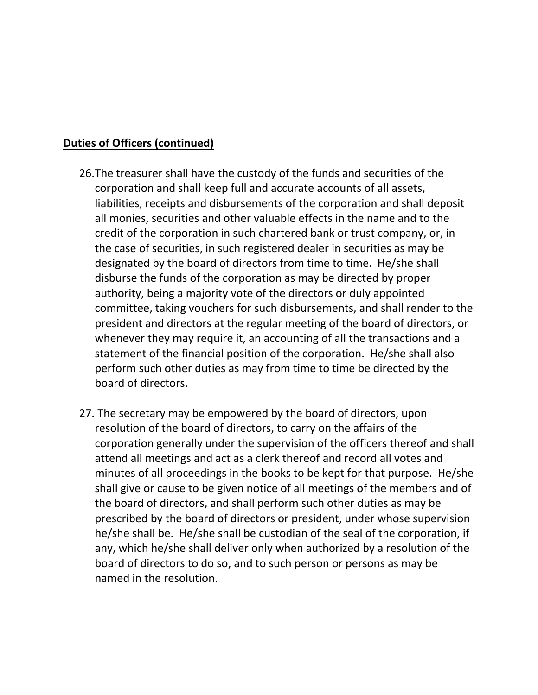# **Duties of Officers (continued)**

- 26.The treasurer shall have the custody of the funds and securities of the corporation and shall keep full and accurate accounts of all assets, liabilities, receipts and disbursements of the corporation and shall deposit all monies, securities and other valuable effects in the name and to the credit of the corporation in such chartered bank or trust company, or, in the case of securities, in such registered dealer in securities as may be designated by the board of directors from time to time. He/she shall disburse the funds of the corporation as may be directed by proper authority, being a majority vote of the directors or duly appointed committee, taking vouchers for such disbursements, and shall render to the president and directors at the regular meeting of the board of directors, or whenever they may require it, an accounting of all the transactions and a statement of the financial position of the corporation. He/she shall also perform such other duties as may from time to time be directed by the board of directors.
- 27. The secretary may be empowered by the board of directors, upon resolution of the board of directors, to carry on the affairs of the corporation generally under the supervision of the officers thereof and shall attend all meetings and act as a clerk thereof and record all votes and minutes of all proceedings in the books to be kept for that purpose. He/she shall give or cause to be given notice of all meetings of the members and of the board of directors, and shall perform such other duties as may be prescribed by the board of directors or president, under whose supervision he/she shall be. He/she shall be custodian of the seal of the corporation, if any, which he/she shall deliver only when authorized by a resolution of the board of directors to do so, and to such person or persons as may be named in the resolution.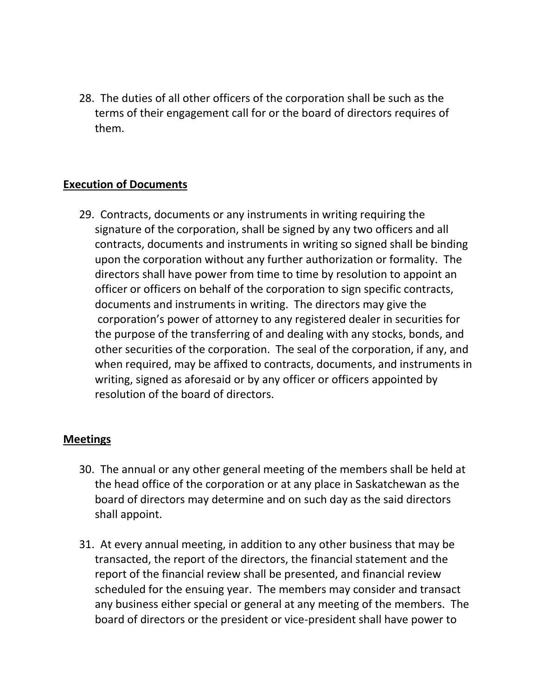28. The duties of all other officers of the corporation shall be such as the terms of their engagement call for or the board of directors requires of them.

## **Execution of Documents**

29. Contracts, documents or any instruments in writing requiring the signature of the corporation, shall be signed by any two officers and all contracts, documents and instruments in writing so signed shall be binding upon the corporation without any further authorization or formality. The directors shall have power from time to time by resolution to appoint an officer or officers on behalf of the corporation to sign specific contracts, documents and instruments in writing. The directors may give the corporation's power of attorney to any registered dealer in securities for the purpose of the transferring of and dealing with any stocks, bonds, and other securities of the corporation. The seal of the corporation, if any, and when required, may be affixed to contracts, documents, and instruments in writing, signed as aforesaid or by any officer or officers appointed by resolution of the board of directors.

#### **Meetings**

- 30. The annual or any other general meeting of the members shall be held at the head office of the corporation or at any place in Saskatchewan as the board of directors may determine and on such day as the said directors shall appoint.
- 31. At every annual meeting, in addition to any other business that may be transacted, the report of the directors, the financial statement and the report of the financial review shall be presented, and financial review scheduled for the ensuing year. The members may consider and transact any business either special or general at any meeting of the members. The board of directors or the president or vice-president shall have power to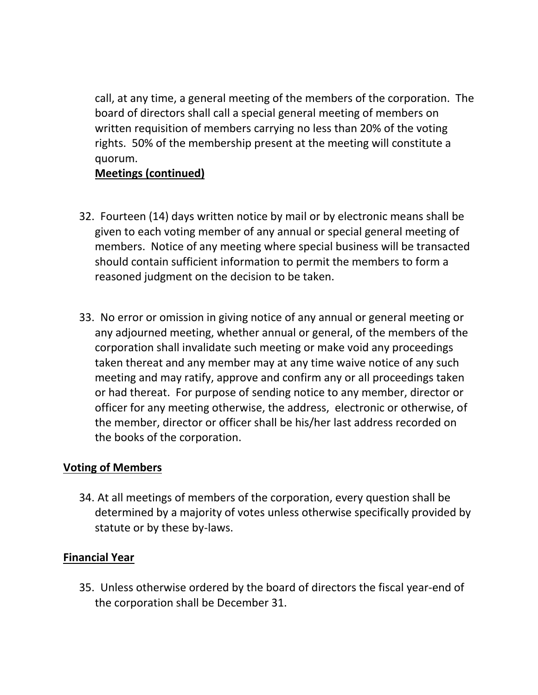call, at any time, a general meeting of the members of the corporation. The board of directors shall call a special general meeting of members on written requisition of members carrying no less than 20% of the voting rights. 50% of the membership present at the meeting will constitute a quorum.

# **Meetings (continued)**

- 32. Fourteen (14) days written notice by mail or by electronic means shall be given to each voting member of any annual or special general meeting of members. Notice of any meeting where special business will be transacted should contain sufficient information to permit the members to form a reasoned judgment on the decision to be taken.
- 33. No error or omission in giving notice of any annual or general meeting or any adjourned meeting, whether annual or general, of the members of the corporation shall invalidate such meeting or make void any proceedings taken thereat and any member may at any time waive notice of any such meeting and may ratify, approve and confirm any or all proceedings taken or had thereat. For purpose of sending notice to any member, director or officer for any meeting otherwise, the address, electronic or otherwise, of the member, director or officer shall be his/her last address recorded on the books of the corporation.

## **Voting of Members**

34. At all meetings of members of the corporation, every question shall be determined by a majority of votes unless otherwise specifically provided by statute or by these by-laws.

## **Financial Year**

35. Unless otherwise ordered by the board of directors the fiscal year-end of the corporation shall be December 31.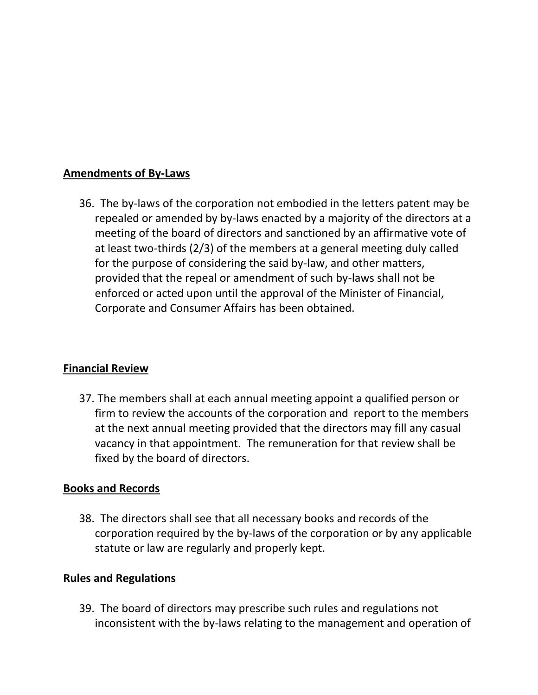# **Amendments of By-Laws**

36. The by-laws of the corporation not embodied in the letters patent may be repealed or amended by by-laws enacted by a majority of the directors at a meeting of the board of directors and sanctioned by an affirmative vote of at least two-thirds (2/3) of the members at a general meeting duly called for the purpose of considering the said by-law, and other matters, provided that the repeal or amendment of such by-laws shall not be enforced or acted upon until the approval of the Minister of Financial, Corporate and Consumer Affairs has been obtained.

## **Financial Review**

37. The members shall at each annual meeting appoint a qualified person or firm to review the accounts of the corporation and report to the members at the next annual meeting provided that the directors may fill any casual vacancy in that appointment. The remuneration for that review shall be fixed by the board of directors.

## **Books and Records**

38. The directors shall see that all necessary books and records of the corporation required by the by-laws of the corporation or by any applicable statute or law are regularly and properly kept.

#### **Rules and Regulations**

39. The board of directors may prescribe such rules and regulations not inconsistent with the by-laws relating to the management and operation of